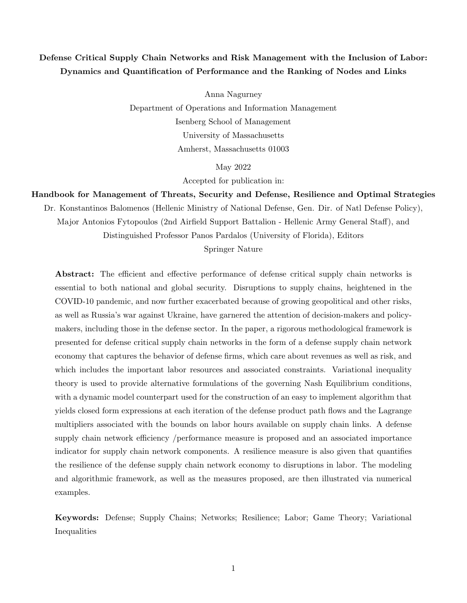# Defense Critical Supply Chain Networks and Risk Management with the Inclusion of Labor: Dynamics and Quantification of Performance and the Ranking of Nodes and Links

Anna Nagurney Department of Operations and Information Management Isenberg School of Management University of Massachusetts Amherst, Massachusetts 01003

May 2022

Accepted for publication in:

Handbook for Management of Threats, Security and Defense, Resilience and Optimal Strategies

Dr. Konstantinos Balomenos (Hellenic Ministry of National Defense, Gen. Dir. of Natl Defense Policy),

Major Antonios Fytopoulos (2nd Airfield Support Battalion - Hellenic Army General Staff), and

Distinguished Professor Panos Pardalos (University of Florida), Editors

Springer Nature

Abstract: The efficient and effective performance of defense critical supply chain networks is essential to both national and global security. Disruptions to supply chains, heightened in the COVID-10 pandemic, and now further exacerbated because of growing geopolitical and other risks, as well as Russia's war against Ukraine, have garnered the attention of decision-makers and policymakers, including those in the defense sector. In the paper, a rigorous methodological framework is presented for defense critical supply chain networks in the form of a defense supply chain network economy that captures the behavior of defense firms, which care about revenues as well as risk, and which includes the important labor resources and associated constraints. Variational inequality theory is used to provide alternative formulations of the governing Nash Equilibrium conditions, with a dynamic model counterpart used for the construction of an easy to implement algorithm that yields closed form expressions at each iteration of the defense product path flows and the Lagrange multipliers associated with the bounds on labor hours available on supply chain links. A defense supply chain network efficiency /performance measure is proposed and an associated importance indicator for supply chain network components. A resilience measure is also given that quantifies the resilience of the defense supply chain network economy to disruptions in labor. The modeling and algorithmic framework, as well as the measures proposed, are then illustrated via numerical examples.

Keywords: Defense; Supply Chains; Networks; Resilience; Labor; Game Theory; Variational Inequalities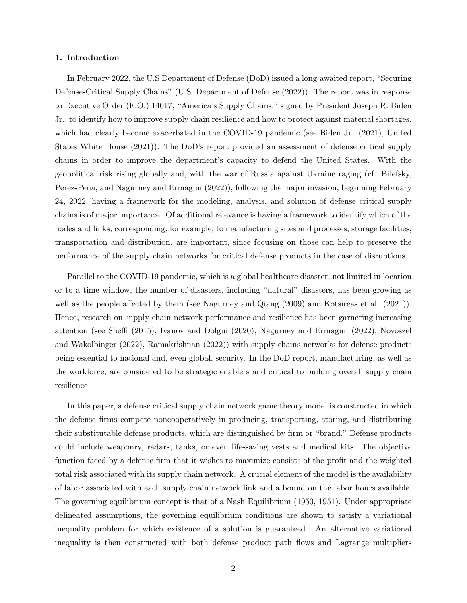#### 1. Introduction

In February 2022, the U.S Department of Defense (DoD) issued a long-awaited report, "Securing Defense-Critical Supply Chains" (U.S. Department of Defense (2022)). The report was in response to Executive Order (E.O.) 14017, "America's Supply Chains," signed by President Joseph R. Biden Jr., to identify how to improve supply chain resilience and how to protect against material shortages, which had clearly become exacerbated in the COVID-19 pandemic (see Biden Jr. (2021), United States White House (2021)). The DoD's report provided an assessment of defense critical supply chains in order to improve the department's capacity to defend the United States. With the geopolitical risk rising globally and, with the war of Russia against Ukraine raging (cf. Bilefsky, Perez-Pena, and Nagurney and Ermagun (2022)), following the major invasion, beginning February 24, 2022, having a framework for the modeling, analysis, and solution of defense critical supply chains is of major importance. Of additional relevance is having a framework to identify which of the nodes and links, corresponding, for example, to manufacturing sites and processes, storage facilities, transportation and distribution, are important, since focusing on those can help to preserve the performance of the supply chain networks for critical defense products in the case of disruptions.

Parallel to the COVID-19 pandemic, which is a global healthcare disaster, not limited in location or to a time window, the number of disasters, including "natural" disasters, has been growing as well as the people affected by them (see Nagurney and Qiang (2009) and Kotsireas et al. (2021)). Hence, research on supply chain network performance and resilience has been garnering increasing attention (see Sheffi (2015), Ivanov and Dolgui (2020), Nagurney and Ermagun (2022), Novoszel and Wakolbinger (2022), Ramakrishnan (2022)) with supply chains networks for defense products being essential to national and, even global, security. In the DoD report, manufacturing, as well as the workforce, are considered to be strategic enablers and critical to building overall supply chain resilience.

In this paper, a defense critical supply chain network game theory model is constructed in which the defense firms compete noncooperatively in producing, transporting, storing, and distributing their substitutable defense products, which are distinguished by firm or "brand." Defense products could include weaponry, radars, tanks, or even life-saving vests and medical kits. The objective function faced by a defense firm that it wishes to maximize consists of the profit and the weighted total risk associated with its supply chain network. A crucial element of the model is the availability of labor associated with each supply chain network link and a bound on the labor hours available. The governing equilibrium concept is that of a Nash Equilibrium (1950, 1951). Under appropriate delineated assumptions, the governing equilibrium conditions are shown to satisfy a variational inequality problem for which existence of a solution is guaranteed. An alternative variational inequality is then constructed with both defense product path flows and Lagrange multipliers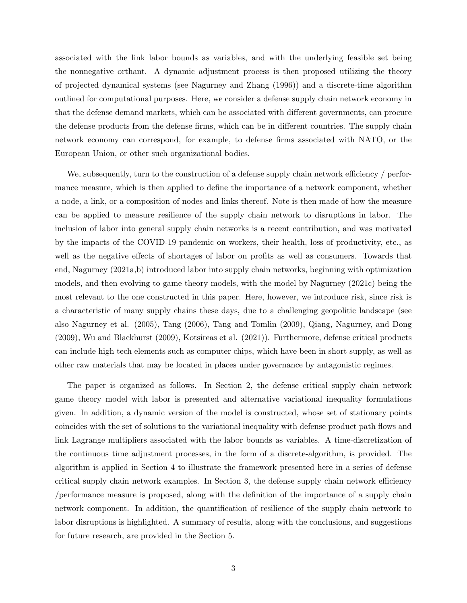associated with the link labor bounds as variables, and with the underlying feasible set being the nonnegative orthant. A dynamic adjustment process is then proposed utilizing the theory of projected dynamical systems (see Nagurney and Zhang (1996)) and a discrete-time algorithm outlined for computational purposes. Here, we consider a defense supply chain network economy in that the defense demand markets, which can be associated with different governments, can procure the defense products from the defense firms, which can be in different countries. The supply chain network economy can correspond, for example, to defense firms associated with NATO, or the European Union, or other such organizational bodies.

We, subsequently, turn to the construction of a defense supply chain network efficiency / performance measure, which is then applied to define the importance of a network component, whether a node, a link, or a composition of nodes and links thereof. Note is then made of how the measure can be applied to measure resilience of the supply chain network to disruptions in labor. The inclusion of labor into general supply chain networks is a recent contribution, and was motivated by the impacts of the COVID-19 pandemic on workers, their health, loss of productivity, etc., as well as the negative effects of shortages of labor on profits as well as consumers. Towards that end, Nagurney (2021a,b) introduced labor into supply chain networks, beginning with optimization models, and then evolving to game theory models, with the model by Nagurney (2021c) being the most relevant to the one constructed in this paper. Here, however, we introduce risk, since risk is a characteristic of many supply chains these days, due to a challenging geopolitic landscape (see also Nagurney et al. (2005), Tang (2006), Tang and Tomlin (2009), Qiang, Nagurney, and Dong (2009), Wu and Blackhurst (2009), Kotsireas et al. (2021)). Furthermore, defense critical products can include high tech elements such as computer chips, which have been in short supply, as well as other raw materials that may be located in places under governance by antagonistic regimes.

The paper is organized as follows. In Section 2, the defense critical supply chain network game theory model with labor is presented and alternative variational inequality formulations given. In addition, a dynamic version of the model is constructed, whose set of stationary points coincides with the set of solutions to the variational inequality with defense product path flows and link Lagrange multipliers associated with the labor bounds as variables. A time-discretization of the continuous time adjustment processes, in the form of a discrete-algorithm, is provided. The algorithm is applied in Section 4 to illustrate the framework presented here in a series of defense critical supply chain network examples. In Section 3, the defense supply chain network efficiency /performance measure is proposed, along with the definition of the importance of a supply chain network component. In addition, the quantification of resilience of the supply chain network to labor disruptions is highlighted. A summary of results, along with the conclusions, and suggestions for future research, are provided in the Section 5.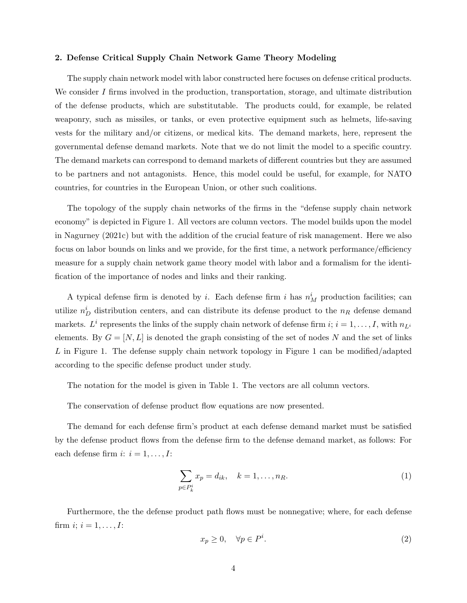#### 2. Defense Critical Supply Chain Network Game Theory Modeling

The supply chain network model with labor constructed here focuses on defense critical products. We consider  $I$  firms involved in the production, transportation, storage, and ultimate distribution of the defense products, which are substitutable. The products could, for example, be related weaponry, such as missiles, or tanks, or even protective equipment such as helmets, life-saving vests for the military and/or citizens, or medical kits. The demand markets, here, represent the governmental defense demand markets. Note that we do not limit the model to a specific country. The demand markets can correspond to demand markets of different countries but they are assumed to be partners and not antagonists. Hence, this model could be useful, for example, for NATO countries, for countries in the European Union, or other such coalitions.

The topology of the supply chain networks of the firms in the "defense supply chain network economy" is depicted in Figure 1. All vectors are column vectors. The model builds upon the model in Nagurney (2021c) but with the addition of the crucial feature of risk management. Here we also focus on labor bounds on links and we provide, for the first time, a network performance/efficiency measure for a supply chain network game theory model with labor and a formalism for the identification of the importance of nodes and links and their ranking.

A typical defense firm is denoted by *i*. Each defense firm *i* has  $n_M^i$  production facilities; can utilize  $n_D^i$  distribution centers, and can distribute its defense product to the  $n_R$  defense demand markets.  $L^i$  represents the links of the supply chain network of defense firm  $i; i = 1, \ldots, I$ , with  $n_{L^i}$ elements. By  $G = [N, L]$  is denoted the graph consisting of the set of nodes N and the set of links L in Figure 1. The defense supply chain network topology in Figure 1 can be modified/adapted according to the specific defense product under study.

The notation for the model is given in Table 1. The vectors are all column vectors.

The conservation of defense product flow equations are now presented.

The demand for each defense firm's product at each defense demand market must be satisfied by the defense product flows from the defense firm to the defense demand market, as follows: For each defense firm  $i: i = 1, \ldots, I:$ 

$$
\sum_{p \in P_k^i} x_p = d_{ik}, \quad k = 1, \dots, n_R. \tag{1}
$$

Furthermore, the the defense product path flows must be nonnegative; where, for each defense firm *i*;  $i = 1, ..., I$ :

$$
x_p \ge 0, \quad \forall p \in P^i. \tag{2}
$$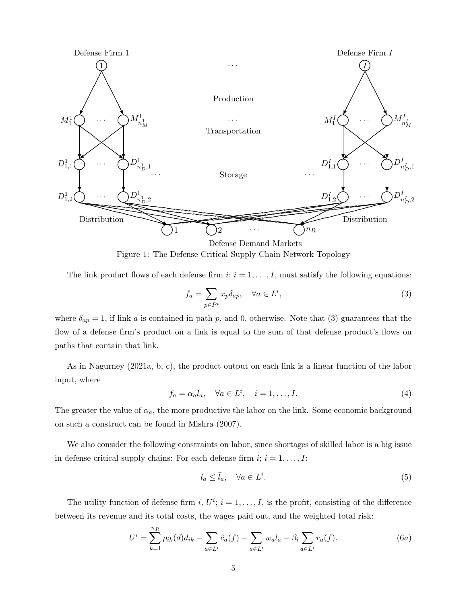

Figure 1: The Defense Critical Supply Chain Network Topology

The link product flows of each defense firm  $i; i = 1, \ldots, I$ , must satisfy the following equations:

$$
f_a = \sum_{p \in P^i} x_p \delta_{ap}, \quad \forall a \in L^i,
$$
\n(3)

where  $\delta_{ap} = 1$ , if link a is contained in path p, and 0, otherwise. Note that (3) guarantees that the flow of a defense firm's product on a link is equal to the sum of that defense product's flows on paths that contain that link.

As in Nagurney (2021a, b, c), the product output on each link is a linear function of the labor input, where

$$
f_a = \alpha_a l_a, \quad \forall a \in L^i, \quad i = 1, \dots, I.
$$
\n
$$
(4)
$$

The greater the value of  $\alpha_a$ , the more productive the labor on the link. Some economic background on such a construct can be found in Mishra (2007).

We also consider the following constraints on labor, since shortages of skilled labor is a big issue in defense critical supply chains: For each defense firm  $i; i = 1, \ldots, I$ :

$$
l_a \le \bar{l}_a, \quad \forall a \in L^i. \tag{5}
$$

The utility function of defense firm i,  $U^i$ ;  $i = 1, \ldots, I$ , is the profit, consisting of the difference between its revenue and its total costs, the wages paid out, and the weighted total risk:

$$
U^{i} = \sum_{k=1}^{n_{R}} \rho_{ik}(d) d_{ik} - \sum_{a \in L^{i}} \hat{c}_{a}(f) - \sum_{a \in L^{i}} w_{a} l_{a} - \beta_{i} \sum_{a \in L^{i}} r_{a}(f).
$$
 (6a)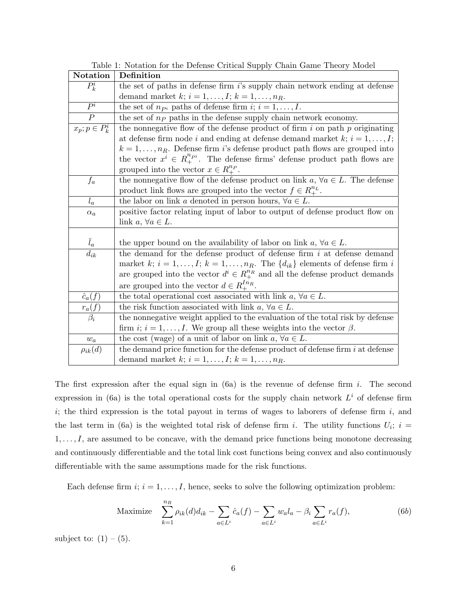| Notation              | Definition                                                                             |
|-----------------------|----------------------------------------------------------------------------------------|
| $P_k^i$               | the set of paths in defense firm $i$ 's supply chain network ending at defense         |
|                       | demand market $k; i = 1, , I; k = 1, , n_R$ .                                          |
| $P^i$                 | the set of $n_{P_i}$ paths of defense firm $i; i = 1, , I$ .                           |
| $\boldsymbol{P}$      | the set of $nP$ paths in the defense supply chain network economy.                     |
| $x_p$ ; $p \in P_k^i$ | the nonnegative flow of the defense product of firm $i$ on path $p$ originating        |
|                       | at defense firm node i and ending at defense demand market $k$ ; $i = 1, , I$ ;        |
|                       | $k = 1, \ldots, n_R$ . Defense firm i's defense product path flows are grouped into    |
|                       | the vector $x^i \in R^{n_{pi}}_+$ . The defense firms' defense product path flows are  |
|                       | grouped into the vector $x \in R_+^{n_p}$ .                                            |
| $f_a$                 | the nonnegative flow of the defense product on link $a, \forall a \in L$ . The defense |
|                       | product link flows are grouped into the vector $f \in R_{+}^{n_L}$ .                   |
| $l_a$                 | the labor on link a denoted in person hours, $\forall a \in L$ .                       |
| $\alpha_a$            | positive factor relating input of labor to output of defense product flow on           |
|                       | link $a, \forall a \in L$ .                                                            |
|                       |                                                                                        |
| $\bar{l}_a$           | the upper bound on the availability of labor on link $a, \forall a \in L$ .            |
| $d_{ik}$              | the demand for the defense product of defense firm $i$ at defense demand               |
|                       | market k; $i = 1, , I$ ; $k = 1, , n_R$ . The $\{d_{ik}\}\$ elements of defense firm i |
|                       | are grouped into the vector $d^i \in R^{n_R}_+$ and all the defense product demands    |
|                       | are grouped into the vector $d \in R_{+}^{In_R}$ .                                     |
| $\hat{c}_a(f)$        | the total operational cost associated with link $a, \forall a \in L$ .                 |
| $r_a(f)$              | the risk function associated with link $a, \forall a \in L$ .                          |
| $\beta_i$             | the nonnegative weight applied to the evaluation of the total risk by defense          |
|                       | firm $i; i = 1, , I$ . We group all these weights into the vector $\beta$ .            |
| $w_a$                 | the cost (wage) of a unit of labor on link $a, \forall a \in L$ .                      |
| $\rho_{ik}(d)$        | the demand price function for the defense product of defense firm $i$ at defense       |
|                       | demand market $k; i = 1, \ldots, I; k = 1, \ldots, n_R$ .                              |

Table 1: Notation for the Defense Critical Supply Chain Game Theory Model

The first expression after the equal sign in  $(6a)$  is the revenue of defense firm i. The second expression in (6a) is the total operational costs for the supply chain network  $L^i$  of defense firm  $i$ ; the third expression is the total payout in terms of wages to laborers of defense firm  $i$ , and the last term in (6a) is the weighted total risk of defense firm i. The utility functions  $U_i$ ; i =  $1, \ldots, I$ , are assumed to be concave, with the demand price functions being monotone decreasing and continuously differentiable and the total link cost functions being convex and also continuously differentiable with the same assumptions made for the risk functions.

Each defense firm  $i; i = 1, \ldots, I$ , hence, seeks to solve the following optimization problem:

Maximize 
$$
\sum_{k=1}^{n_R} \rho_{ik}(d) d_{ik} - \sum_{a \in L^i} \hat{c}_a(f) - \sum_{a \in L^i} w_a l_a - \beta_i \sum_{a \in L^i} r_a(f),
$$
 (6b)

subject to:  $(1) - (5)$ .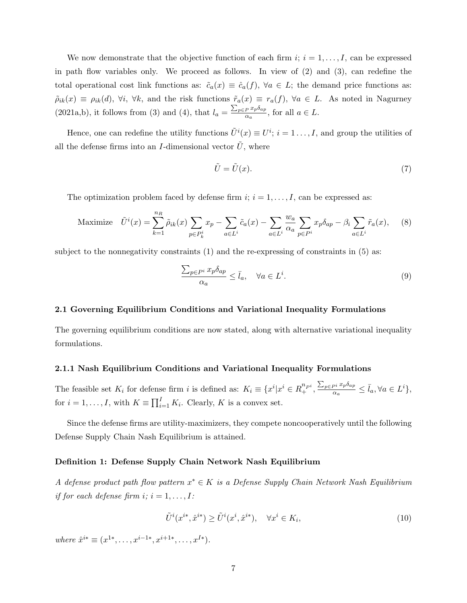We now demonstrate that the objective function of each firm  $i; i = 1, \ldots, I$ , can be expressed in path flow variables only. We proceed as follows. In view of (2) and (3), can redefine the total operational cost link functions as:  $\tilde{c}_a(x) \equiv \hat{c}_a(f)$ ,  $\forall a \in L$ ; the demand price functions as:  $\tilde{\rho}_{ik}(x) \equiv \rho_{ik}(d)$ ,  $\forall i$ ,  $\forall k$ , and the risk functions  $\tilde{r}_a(x) \equiv r_a(f)$ ,  $\forall a \in L$ . As noted in Nagurney (2021a,b), it follows from (3) and (4), that  $l_a = \frac{\sum_{p \in P} x_p \delta_{ap}}{\alpha_s}$  $\frac{P^{x}P^{vap}}{\alpha_a}$ , for all  $a \in L$ .

Hence, one can redefine the utility functions  $\tilde{U}^i(x) \equiv U^i$ ;  $i = 1 \dots, I$ , and group the utilities of all the defense firms into an I-dimensional vector  $\tilde{U}$ , where

$$
\tilde{U} = \tilde{U}(x). \tag{7}
$$

The optimization problem faced by defense firm  $i; i = 1, \ldots, I$ , can be expressed as:

Maximize 
$$
\tilde{U}^i(x) = \sum_{k=1}^{n_R} \tilde{\rho}_{ik}(x) \sum_{p \in P_k^i} x_p - \sum_{a \in L^i} \tilde{c}_a(x) - \sum_{a \in L^i} \frac{w_a}{\alpha_a} \sum_{p \in P^i} x_p \delta_{ap} - \beta_i \sum_{a \in L^i} \tilde{r}_a(x),
$$
 (8)

subject to the nonnegativity constraints (1) and the re-expressing of constraints in (5) as:

$$
\frac{\sum_{p \in P^i} x_p \delta_{ap}}{\alpha_a} \le \bar{l}_a, \quad \forall a \in L^i.
$$
\n(9)

#### 2.1 Governing Equilibrium Conditions and Variational Inequality Formulations

The governing equilibrium conditions are now stated, along with alternative variational inequality formulations.

## 2.1.1 Nash Equilibrium Conditions and Variational Inequality Formulations

The feasible set  $K_i$  for defense firm i is defined as:  $K_i \equiv \{x^i | x^i \in R_+^{n_{pi}}, \frac{\sum_{p \in P^i} x_p \delta_{ap}}{\alpha_a} \}$  $\frac{\partial p^i}{\partial a} \cdot \overline{l}_a, \forall a \in L^i$ , for  $i = 1, ..., I$ , with  $K \equiv \prod_{i=1}^{I} K_i$ . Clearly, K is a convex set.

Since the defense firms are utility-maximizers, they compete noncooperatively until the following Defense Supply Chain Nash Equilibrium is attained.

#### Definition 1: Defense Supply Chain Network Nash Equilibrium

A defense product path flow pattern  $x^* \in K$  is a Defense Supply Chain Network Nash Equilibrium if for each defense firm  $i; i = 1, \ldots, I:$ 

$$
\tilde{U}^i(x^{i*}, \hat{x}^{i*}) \ge \tilde{U}^i(x^i, \hat{x}^{i*}), \quad \forall x^i \in K_i,
$$
\n
$$
(10)
$$

where  $\hat{x}^{i*} \equiv (x^{1*}, \ldots, x^{i-1*}, x^{i+1*}, \ldots, x^{I*}).$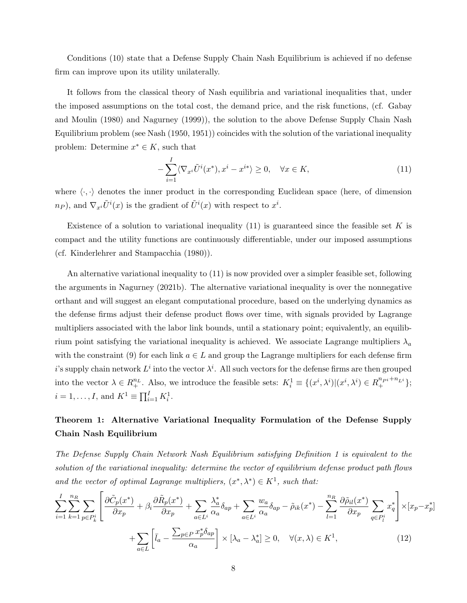Conditions (10) state that a Defense Supply Chain Nash Equilibrium is achieved if no defense firm can improve upon its utility unilaterally.

It follows from the classical theory of Nash equilibria and variational inequalities that, under the imposed assumptions on the total cost, the demand price, and the risk functions, (cf. Gabay and Moulin (1980) and Nagurney (1999)), the solution to the above Defense Supply Chain Nash Equilibrium problem (see Nash (1950, 1951)) coincides with the solution of the variational inequality problem: Determine  $x^* \in K$ , such that

$$
-\sum_{i=1}^{I} \langle \nabla_{x^i} \tilde{U}^i(x^*), x^i - x^{i*} \rangle \ge 0, \quad \forall x \in K,
$$
\n(11)

where  $\langle \cdot, \cdot \rangle$  denotes the inner product in the corresponding Euclidean space (here, of dimension  $n_P$ ), and  $\nabla_{x_i} \tilde{U}^i(x)$  is the gradient of  $\tilde{U}^i(x)$  with respect to  $x^i$ .

Existence of a solution to variational inequality  $(11)$  is guaranteed since the feasible set K is compact and the utility functions are continuously differentiable, under our imposed assumptions (cf. Kinderlehrer and Stampacchia (1980)).

An alternative variational inequality to (11) is now provided over a simpler feasible set, following the arguments in Nagurney (2021b). The alternative variational inequality is over the nonnegative orthant and will suggest an elegant computational procedure, based on the underlying dynamics as the defense firms adjust their defense product flows over time, with signals provided by Lagrange multipliers associated with the labor link bounds, until a stationary point; equivalently, an equilibrium point satisfying the variational inequality is achieved. We associate Lagrange multipliers  $\lambda_a$ with the constraint (9) for each link  $a \in L$  and group the Lagrange multipliers for each defense firm i's supply chain network  $L^i$  into the vector  $\lambda^i$ . All such vectors for the defense firms are then grouped into the vector  $\lambda \in R_+^{n_L}$ . Also, we introduce the feasible sets:  $K_i^1 = \{(x^i, \lambda^i) | (x^i, \lambda^i) \in R_+^{n_{P_i}+n_{L_i}}\};$  $i = 1, ..., I$ , and  $K^1 \equiv \prod_{i=1}^{I} K_i^1$ .

## Theorem 1: Alternative Variational Inequality Formulation of the Defense Supply Chain Nash Equilibrium

The Defense Supply Chain Network Nash Equilibrium satisfying Definition 1 is equivalent to the solution of the variational inequality: determine the vector of equilibrium defense product path flows and the vector of optimal Lagrange multipliers,  $(x^*, \lambda^*) \in K^1$ , such that:

$$
\sum_{i=1}^{I} \sum_{k=1}^{n_R} \sum_{p \in P_k^i} \left[ \frac{\partial \tilde{C}_p(x^*)}{\partial x_p} + \beta_i \frac{\partial \tilde{R}_p(x^*)}{\partial x_p} + \sum_{a \in L^i} \frac{\lambda_a^*}{\alpha_a} \delta_{ap} + \sum_{a \in L^i} \frac{w_a}{\alpha_a} \delta_{ap} - \tilde{\rho}_{ik}(x^*) - \sum_{l=1}^{n_R} \frac{\partial \tilde{\rho}_{il}(x^*)}{\partial x_p} \sum_{q \in P_l^i} x_q^* \right] \times [x_p - x_p^*] + \sum_{a \in L} \left[ \bar{l}_a - \frac{\sum_{p \in P} x_p^* \delta_{ap}}{\alpha_a} \right] \times [\lambda_a - \lambda_a^*] \ge 0, \quad \forall (x, \lambda) \in K^1,
$$
\n(12)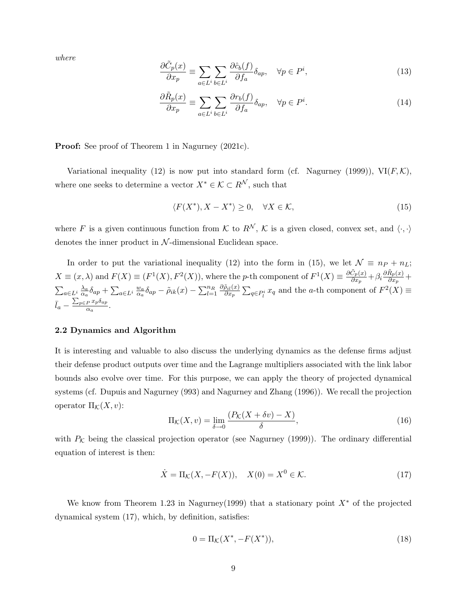where

$$
\frac{\partial \tilde{C}_p(x)}{\partial x_p} \equiv \sum_{a \in L^i} \sum_{b \in L^i} \frac{\partial \hat{c}_b(f)}{\partial f_a} \delta_{ap}, \quad \forall p \in P^i,
$$
\n(13)

$$
\frac{\partial \tilde{R}_p(x)}{\partial x_p} \equiv \sum_{a \in L^i} \sum_{b \in L^i} \frac{\partial r_b(f)}{\partial f_a} \delta_{ap}, \quad \forall p \in P^i.
$$
\n(14)

**Proof:** See proof of Theorem 1 in Nagurney (2021c).

Variational inequality (12) is now put into standard form (cf. Nagurney (1999)),  $VI(F, K)$ , where one seeks to determine a vector  $X^* \in \mathcal{K} \subset R^{\mathcal{N}}$ , such that

$$
\langle F(X^*), X - X^* \rangle \ge 0, \quad \forall X \in \mathcal{K}, \tag{15}
$$

where F is a given continuous function from K to  $R^{\mathcal{N}}, \mathcal{K}$  is a given closed, convex set, and  $\langle \cdot, \cdot \rangle$ denotes the inner product in  $N$ -dimensional Euclidean space.

In order to put the variational inequality (12) into the form in (15), we let  $\mathcal{N} \equiv n_P + n_L$ ;  $X \equiv (x, \lambda)$  and  $F(X) \equiv (F^1(X), F^2(X))$ , where the p-th component of  $F^1(X) \equiv \frac{\partial \tilde{C}_p(x)}{\partial x}$  $\frac{\tilde{C}_p(x)}{\partial x_p}+\beta_i\frac{\partial \tilde{R}_p(x)}{\partial x_p}$  $\frac{\alpha_p(x)}{\partial x_p} +$  $\sum_{a\in L^i}\frac{\lambda_a}{\alpha_a}$  $\frac{\lambda_a}{\alpha_a} \delta_{ap} + \sum_{a \in L^i} \frac{w_a}{\alpha_a}$  $\frac{w_a}{\alpha_a}\delta_{ap}-\tilde{\rho}_{ik}(x)-\sum_{l=1}^{n_R}\frac{\partial \tilde{\rho}_{il}(x)}{\partial x_p}$  $\frac{\partial_i(x)}{\partial x_p}$   $\sum_{q \in P_i^i} x_q$  and the a-th component of  $F^2(X) \equiv$  $\bar{l}_a - \frac{\sum_{p \in P} x_p \delta_{ap}}{\alpha_a}$  $\frac{P^{up \alpha}$ .

#### 2.2 Dynamics and Algorithm

It is interesting and valuable to also discuss the underlying dynamics as the defense firms adjust their defense product outputs over time and the Lagrange multipliers associated with the link labor bounds also evolve over time. For this purpose, we can apply the theory of projected dynamical systems (cf. Dupuis and Nagurney (993) and Nagurney and Zhang (1996)). We recall the projection operator  $\Pi_{\mathcal{K}}(X,v)$ :

$$
\Pi_{\mathcal{K}}(X,v) = \lim_{\delta \to 0} \frac{(P_{\mathcal{K}}(X + \delta v) - X)}{\delta},\tag{16}
$$

with  $P_K$  being the classical projection operator (see Nagurney (1999)). The ordinary differential equation of interest is then:

$$
\dot{X} = \Pi_{\mathcal{K}}(X, -F(X)), \quad X(0) = X^0 \in \mathcal{K}.\tag{17}
$$

We know from Theorem 1.23 in Nagurney(1999) that a stationary point  $X^*$  of the projected dynamical system (17), which, by definition, satisfies:

$$
0 = \Pi_{\mathcal{K}}(X^*, -F(X^*)),\tag{18}
$$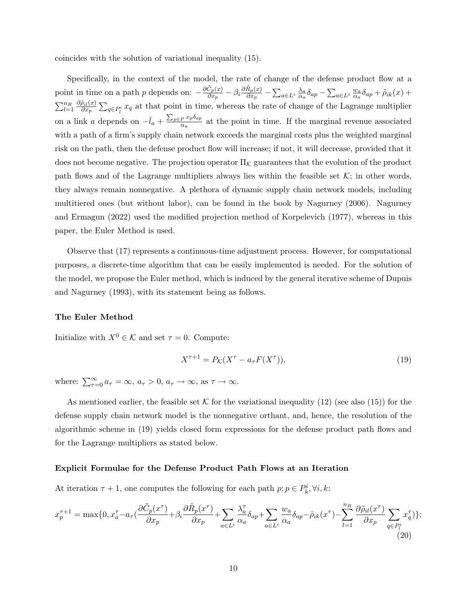coincides with the solution of variational inequality (15).

Specifically, in the context of the model, the rate of change of the defense product flow at a point in time on a path p depends on:  $-\frac{\partial \tilde{C}_p(x)}{\partial x}$  $\frac{\tilde{C}_p(x)}{\partial x_p}-\beta_i\frac{\partial \tilde{R}_p(x)}{\partial x_p}$  $\frac{R_p(x)}{\partial x_p}-\sum_{a\in L^i}\frac{\lambda_a}{\alpha_a}$  $\frac{\lambda_a}{\alpha_a} \delta_{ap} - \sum_{a \in L^i} \frac{w_a}{\alpha_a}$  $\frac{w_a}{\alpha_a} \delta_{ap} + \tilde{\rho}_{ik}(x) +$  $\sum_{l=1}^{n_R} \frac{\partial \tilde{\rho}_{il}(x)}{\partial x_p}$  $\frac{\partial q_i(x)}{\partial x_p} \sum_{q \in P_i^i} x_q$  at that point in time, whereas the rate of change of the Lagrange multiplier on a link a depends on  $-\bar{l}_a + \frac{\sum_{p \in P} x_p \delta_{ap}}{\alpha_a}$  $\frac{P^{x}P^{vap}}{\alpha_a}$  at the point in time. If the marginal revenue associated with a path of a firm's supply chain network exceeds the marginal costs plus the weighted marginal risk on the path, then the defense product flow will increase; if not, it will decrease, provided that it does not become negative. The projection operator  $\Pi_{\mathcal{K}}$  guarantees that the evolution of the product path flows and of the Lagrange multipliers always lies within the feasible set  $\mathcal{K}$ ; in other words, they always remain nonnegative. A plethora of dynamic supply chain network models, including multitiered ones (but without labor), can be found in the book by Nagurney (2006). Nagurney and Ermagun (2022) used the modified projection method of Korpelevich (1977), whereas in this paper, the Euler Method is used.

Observe that (17) represents a continuous-time adjustment process. However, for computational purposes, a discrete-time algorithm that can be easily implemented is needed. For the solution of the model, we propose the Euler method, which is induced by the general iterative scheme of Dupuis and Nagurney (1993), with its statement being as follows.

#### The Euler Method

Initialize with  $X^0 \in \mathcal{K}$  and set  $\tau = 0$ . Compute:

$$
X^{\tau+1} = P_{\mathcal{K}}(X^{\tau} - a_{\tau}F(X^{\tau})),\tag{19}
$$

where:  $\sum_{\tau=0}^{\infty} a_{\tau} = \infty$ ,  $a_{\tau} > 0$ ,  $a_{\tau} \to \infty$ , as  $\tau \to \infty$ .

As mentioned earlier, the feasible set K for the variational inequality  $(12)$  (see also  $(15)$ ) for the defense supply chain network model is the nonnegative orthant, and, hence, the resolution of the algorithmic scheme in (19) yields closed form expressions for the defense product path flows and for the Lagrange multipliers as stated below.

#### Explicit Formulae for the Defense Product Path Flows at an Iteration

At iteration  $\tau + 1$ , one computes the following for each path  $p; p \in P^i_k, \forall i, k$ :

$$
x_p^{\tau+1} = \max\{0, x_a^{\tau} - a_{\tau}\left(\frac{\partial \tilde{C}_p(x^{\tau})}{\partial x_p} + \beta_i \frac{\partial \tilde{R}_p(x^{\tau})}{\partial x_p} + \sum_{a \in L^i} \frac{\lambda_a^{\tau}}{\alpha_a} \delta_{ap} + \sum_{a \in L^i} \frac{w_a}{\alpha_a} \delta_{ap} - \tilde{\rho}_{ik}(x^{\tau}) - \sum_{l=1}^{n_R} \frac{\partial \tilde{\rho}_{il}(x^{\tau})}{\partial x_p} \sum_{q \in P_l^i} x_q^{\tau} \} \tag{20}
$$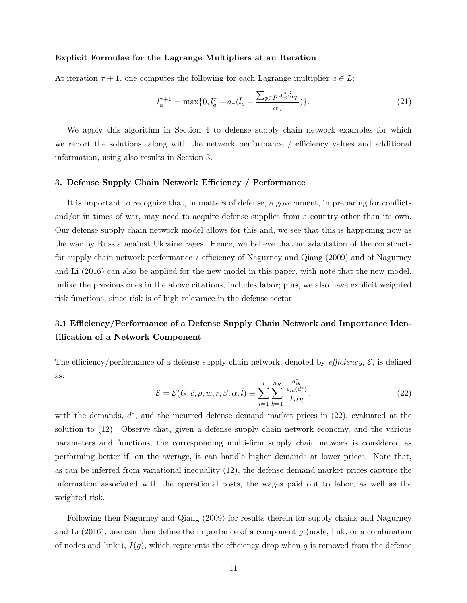#### Explicit Formulae for the Lagrange Multipliers at an Iteration

At iteration  $\tau + 1$ , one computes the following for each Lagrange multiplier  $a \in L$ :

$$
l_a^{\tau+1} = \max\{0, l_a^{\tau} - a_{\tau}(\bar{l}_a - \frac{\sum_{p \in P} x_p^{\tau} \delta_{ap}}{\alpha_a})\}.
$$
 (21)

We apply this algorithm in Section 4 to defense supply chain network examples for which we report the solutions, along with the network performance / efficiency values and additional information, using also results in Section 3.

#### 3. Defense Supply Chain Network Efficiency / Performance

It is important to recognize that, in matters of defense, a government, in preparing for conflicts and/or in times of war, may need to acquire defense supplies from a country other than its own. Our defense supply chain network model allows for this and, we see that this is happening now as the war by Russia against Ukraine rages. Hence, we believe that an adaptation of the constructs for supply chain network performance / efficiency of Nagurney and Qiang (2009) and of Nagurney and Li (2016) can also be applied for the new model in this paper, with note that the new model, unlike the previous ones in the above citations, includes labor; plus, we also have explicit weighted risk functions, since risk is of high relevance in the defense sector.

## 3.1 Efficiency/Performance of a Defense Supply Chain Network and Importance Identification of a Network Component

The efficiency/performance of a defense supply chain network, denoted by *efficiency*,  $\mathcal{E}$ , is defined as:

$$
\mathcal{E} = \mathcal{E}(G, \hat{c}, \rho, w, r, \beta, \alpha, \bar{l}) \equiv \sum_{i=1}^{I} \sum_{k=1}^{n_R} \frac{\frac{d_{ik}^*}{\rho_{ik}(d^*)}}{In_R},\tag{22}
$$

with the demands,  $d^*$ , and the incurred defense demand market prices in  $(22)$ , evaluated at the solution to (12). Observe that, given a defense supply chain network economy, and the various parameters and functions, the corresponding multi-firm supply chain network is considered as performing better if, on the average, it can handle higher demands at lower prices. Note that, as can be inferred from variational inequality (12), the defense demand market prices capture the information associated with the operational costs, the wages paid out to labor, as well as the weighted risk.

Following then Nagurney and Qiang (2009) for results therein for supply chains and Nagurney and Li  $(2016)$ , one can then define the importance of a component g (node, link, or a combination of nodes and links),  $I(g)$ , which represents the efficiency drop when g is removed from the defense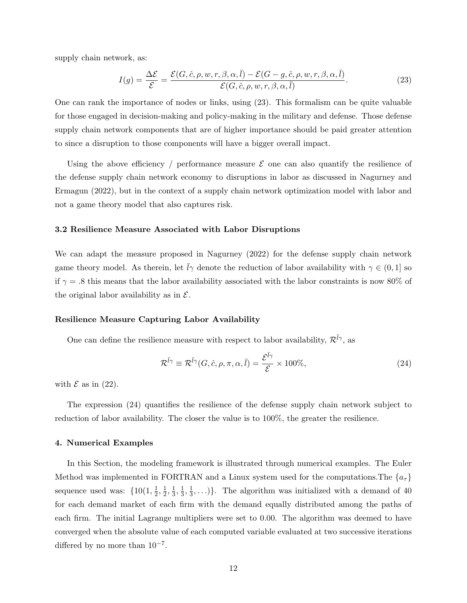supply chain network, as:

$$
I(g) = \frac{\Delta \mathcal{E}}{\mathcal{E}} = \frac{\mathcal{E}(G, \hat{c}, \rho, w, r, \beta, \alpha, \bar{l}) - \mathcal{E}(G - g, \hat{c}, \rho, w, r, \beta, \alpha, \bar{l})}{\mathcal{E}(G, \hat{c}, \rho, w, r, \beta, \alpha, \bar{l})}.
$$
(23)

One can rank the importance of nodes or links, using (23). This formalism can be quite valuable for those engaged in decision-making and policy-making in the military and defense. Those defense supply chain network components that are of higher importance should be paid greater attention to since a disruption to those components will have a bigger overall impact.

Using the above efficiency / performance measure  $\mathcal E$  one can also quantify the resilience of the defense supply chain network economy to disruptions in labor as discussed in Nagurney and Ermagun (2022), but in the context of a supply chain network optimization model with labor and not a game theory model that also captures risk.

#### 3.2 Resilience Measure Associated with Labor Disruptions

We can adapt the measure proposed in Nagurney (2022) for the defense supply chain network game theory model. As therein, let  $\bar{l}\gamma$  denote the reduction of labor availability with  $\gamma \in (0,1]$  so if  $\gamma = .8$  this means that the labor availability associated with the labor constraints is now 80% of the original labor availability as in  $\mathcal{E}$ .

#### Resilience Measure Capturing Labor Availability

One can define the resilience measure with respect to labor availability,  $\mathcal{R}^{\bar{l}\gamma}$ , as

$$
\mathcal{R}^{\bar{l}\gamma} \equiv \mathcal{R}^{\bar{l}\gamma}(G, \hat{c}, \rho, \pi, \alpha, \bar{l}) = \frac{\mathcal{E}^{\bar{l}\gamma}}{\mathcal{E}} \times 100\%,\tag{24}
$$

with  $\mathcal E$  as in (22).

The expression (24) quantifies the resilience of the defense supply chain network subject to reduction of labor availability. The closer the value is to 100%, the greater the resilience.

#### 4. Numerical Examples

In this Section, the modeling framework is illustrated through numerical examples. The Euler Method was implemented in FORTRAN and a Linux system used for the computations. The  $\{a_\tau\}$ sequence used was:  $\{10(1, \frac{1}{2})\}$  $\frac{1}{2}, \frac{1}{2}$  $\frac{1}{2}, \frac{1}{3}$  $\frac{1}{3}, \frac{1}{3}$  $\frac{1}{3}, \frac{1}{3}$  $\frac{1}{3}, \ldots$ ). The algorithm was initialized with a demand of 40 for each demand market of each firm with the demand equally distributed among the paths of each firm. The initial Lagrange multipliers were set to 0.00. The algorithm was deemed to have converged when the absolute value of each computed variable evaluated at two successive iterations differed by no more than  $10^{-7}$ .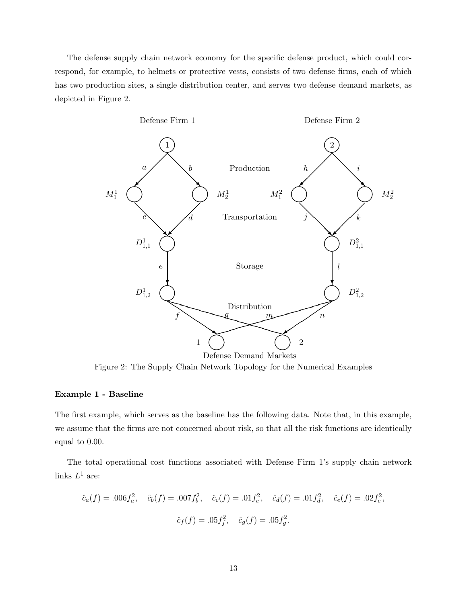The defense supply chain network economy for the specific defense product, which could correspond, for example, to helmets or protective vests, consists of two defense firms, each of which has two production sites, a single distribution center, and serves two defense demand markets, as depicted in Figure 2.



Figure 2: The Supply Chain Network Topology for the Numerical Examples

## Example 1 - Baseline

The first example, which serves as the baseline has the following data. Note that, in this example, we assume that the firms are not concerned about risk, so that all the risk functions are identically equal to 0.00.

The total operational cost functions associated with Defense Firm 1's supply chain network links  $L^1$  are:

$$
\hat{c}_a(f) = .006f_a^2
$$
,  $\hat{c}_b(f) = .007f_b^2$ ,  $\hat{c}_c(f) = .01f_c^2$ ,  $\hat{c}_d(f) = .01f_d^2$ ,  $\hat{c}_e(f) = .02f_e^2$ ,  
 $\hat{c}_f(f) = .05f_f^2$ ,  $\hat{c}_g(f) = .05f_g^2$ .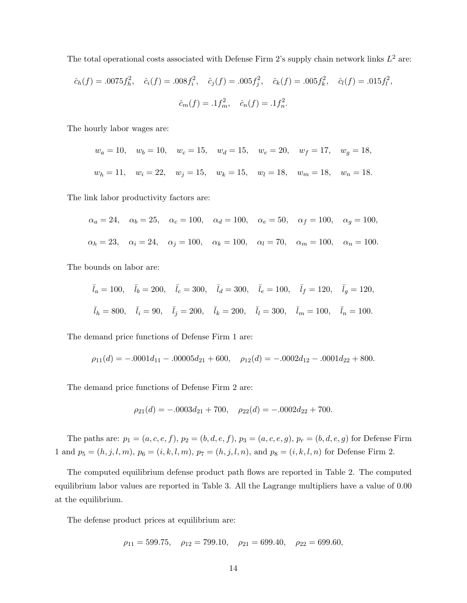The total operational costs associated with Defense Firm 2's supply chain network links  $L^2$  are:

$$
\hat{c}_h(f) = .0075f_h^2
$$
,  $\hat{c}_i(f) = .008f_i^2$ ,  $\hat{c}_j(f) = .005f_j^2$ ,  $\hat{c}_k(f) = .005f_k^2$ ,  $\hat{c}_l(f) = .015f_l^2$ ,  
 $\hat{c}_m(f) = .1f_m^2$ ,  $\hat{c}_n(f) = .1f_n^2$ .

The hourly labor wages are:

$$
w_a = 10
$$
,  $w_b = 10$ ,  $w_c = 15$ ,  $w_d = 15$ ,  $w_e = 20$ ,  $w_f = 17$ ,  $w_g = 18$ ,  
\n $w_h = 11$ ,  $w_i = 22$ ,  $w_j = 15$ ,  $w_k = 15$ ,  $w_l = 18$ ,  $w_m = 18$ ,  $w_n = 18$ .

The link labor productivity factors are:

$$
\alpha_a = 24, \quad \alpha_b = 25, \quad \alpha_c = 100, \quad \alpha_d = 100, \quad \alpha_e = 50, \quad \alpha_f = 100, \quad \alpha_g = 100,
$$
  
 $\alpha_h = 23, \quad \alpha_i = 24, \quad \alpha_j = 100, \quad \alpha_k = 100, \quad \alpha_l = 70, \quad \alpha_m = 100, \quad \alpha_n = 100.$ 

The bounds on labor are:

$$
\bar{l}_a = 100
$$
,  $\bar{l}_b = 200$ ,  $\bar{l}_c = 300$ ,  $\bar{l}_d = 300$ ,  $\bar{l}_e = 100$ ,  $\bar{l}_f = 120$ ,  $\bar{l}_g = 120$ ,  
\n $\bar{l}_h = 800$ ,  $\bar{l}_i = 90$ ,  $\bar{l}_j = 200$ ,  $\bar{l}_k = 200$ ,  $\bar{l}_l = 300$ ,  $\bar{l}_m = 100$ ,  $\bar{l}_n = 100$ .

The demand price functions of Defense Firm 1 are:

$$
\rho_{11}(d) = -.0001d_{11} - .00005d_{21} + 600, \quad \rho_{12}(d) = -.0002d_{12} - .0001d_{22} + 800.
$$

The demand price functions of Defense Firm 2 are:

$$
\rho_{21}(d) = -.0003d_{21} + 700, \quad \rho_{22}(d) = -.0002d_{22} + 700.
$$

The paths are:  $p_1 = (a, c, e, f), p_2 = (b, d, e, f), p_3 = (a, c, e, g), p_r = (b, d, e, g)$  for Defense Firm 1 and  $p_5 = (h, j, l, m)$ ,  $p_6 = (i, k, l, m)$ ,  $p_7 = (h, j, l, n)$ , and  $p_8 = (i, k, l, n)$  for Defense Firm 2.

The computed equilibrium defense product path flows are reported in Table 2. The computed equilibrium labor values are reported in Table 3. All the Lagrange multipliers have a value of 0.00 at the equilibrium.

The defense product prices at equilibrium are:

$$
\rho_{11} = 599.75
$$
,  $\rho_{12} = 799.10$ ,  $\rho_{21} = 699.40$ ,  $\rho_{22} = 699.60$ ,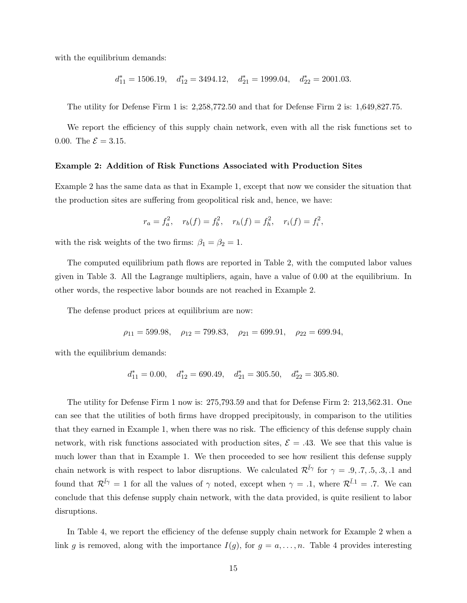with the equilibrium demands:

$$
d_{11}^*=1506.19, \quad d_{12}^*=3494.12, \quad d_{21}^*=1999.04, \quad d_{22}^*=2001.03.
$$

The utility for Defense Firm 1 is: 2,258,772.50 and that for Defense Firm 2 is: 1,649,827.75.

We report the efficiency of this supply chain network, even with all the risk functions set to 0.00. The  $\mathcal{E} = 3.15$ .

#### Example 2: Addition of Risk Functions Associated with Production Sites

Example 2 has the same data as that in Example 1, except that now we consider the situation that the production sites are suffering from geopolitical risk and, hence, we have:

$$
r_a = f_a^2
$$
,  $r_b(f) = f_b^2$ ,  $r_h(f) = f_h^2$ ,  $r_i(f) = f_i^2$ ,

with the risk weights of the two firms:  $\beta_1 = \beta_2 = 1$ .

The computed equilibrium path flows are reported in Table 2, with the computed labor values given in Table 3. All the Lagrange multipliers, again, have a value of 0.00 at the equilibrium. In other words, the respective labor bounds are not reached in Example 2.

The defense product prices at equilibrium are now:

$$
\rho_{11} = 599.98
$$
,  $\rho_{12} = 799.83$ ,  $\rho_{21} = 699.91$ ,  $\rho_{22} = 699.94$ ,

with the equilibrium demands:

$$
d_{11}^* = 0.00
$$
,  $d_{12}^* = 690.49$ ,  $d_{21}^* = 305.50$ ,  $d_{22}^* = 305.80$ .

The utility for Defense Firm 1 now is: 275,793.59 and that for Defense Firm 2: 213,562.31. One can see that the utilities of both firms have dropped precipitously, in comparison to the utilities that they earned in Example 1, when there was no risk. The efficiency of this defense supply chain network, with risk functions associated with production sites,  $\mathcal{E} = .43$ . We see that this value is much lower than that in Example 1. We then proceeded to see how resilient this defense supply chain network is with respect to labor disruptions. We calculated  $\mathcal{R}^{\bar{l}\gamma}$  for  $\gamma = .9, .7, .5, .3, .1$  and found that  $\mathcal{R}^{\bar{l}\gamma} = 1$  for all the values of  $\gamma$  noted, except when  $\gamma = .1$ , where  $\mathcal{R}^{\bar{l}1} = .7$ . We can conclude that this defense supply chain network, with the data provided, is quite resilient to labor disruptions.

In Table 4, we report the efficiency of the defense supply chain network for Example 2 when a link g is removed, along with the importance  $I(g)$ , for  $g = a, \ldots, n$ . Table 4 provides interesting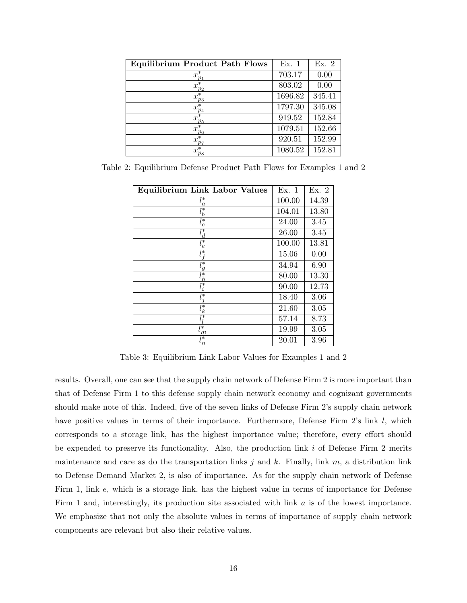| <b>Equilibrium Product Path Flows</b> | Ex. 1   | Ex. 2  |
|---------------------------------------|---------|--------|
| $x_{p_1}^*$                           | 703.17  | 0.00   |
| $x_{p_2}^*$                           | 803.02  | 0.00   |
| $x_{p_3}^*$                           | 1696.82 | 345.41 |
| $x^*_{p_4}$                           | 1797.30 | 345.08 |
| $x_{p_5}^*$                           | 919.52  | 152.84 |
| $x_{p_6}^*$                           | 1079.51 | 152.66 |
| $x_{p_7}^*$                           | 920.51  | 152.99 |
| $x^*$<br>$p_8$                        | 1080.52 | 152.81 |

Table 2: Equilibrium Defense Product Path Flows for Examples 1 and 2

| <b>Equilibrium Link Labor Values</b> | Ex. 1  | Ex. 2 |
|--------------------------------------|--------|-------|
| $l_a^*$                              | 100.00 | 14.39 |
| $\bar{l}_b^*$                        | 104.01 | 13.80 |
| $l_c^*$                              | 24.00  | 3.45  |
| $l_d^*$                              | 26.00  | 3.45  |
| $l^*_e$                              | 100.00 | 13.81 |
| $l^\ast_{\,f}$                       | 15.06  | 0.00  |
| $l_g^*$                              | 34.94  | 6.90  |
| $l_h^*$                              | 80.00  | 13.30 |
| $\bar{l}^*_i$                        | 90.00  | 12.73 |
| $l_i^*$                              | 18.40  | 3.06  |
| $l_k^*$                              | 21.60  | 3.05  |
| $\bar{l}_l^*$                        | 57.14  | 8.73  |
| $l_m^*$                              | 19.99  | 3.05  |
| $l_n^*$                              | 20.01  | 3.96  |

Table 3: Equilibrium Link Labor Values for Examples 1 and 2

results. Overall, one can see that the supply chain network of Defense Firm 2 is more important than that of Defense Firm 1 to this defense supply chain network economy and cognizant governments should make note of this. Indeed, five of the seven links of Defense Firm 2's supply chain network have positive values in terms of their importance. Furthermore, Defense Firm 2's link l, which corresponds to a storage link, has the highest importance value; therefore, every effort should be expended to preserve its functionality. Also, the production link  $i$  of Defense Firm 2 merits maintenance and care as do the transportation links j and k. Finally, link  $m$ , a distribution link to Defense Demand Market 2, is also of importance. As for the supply chain network of Defense Firm 1, link e, which is a storage link, has the highest value in terms of importance for Defense Firm 1 and, interestingly, its production site associated with link a is of the lowest importance. We emphasize that not only the absolute values in terms of importance of supply chain network components are relevant but also their relative values.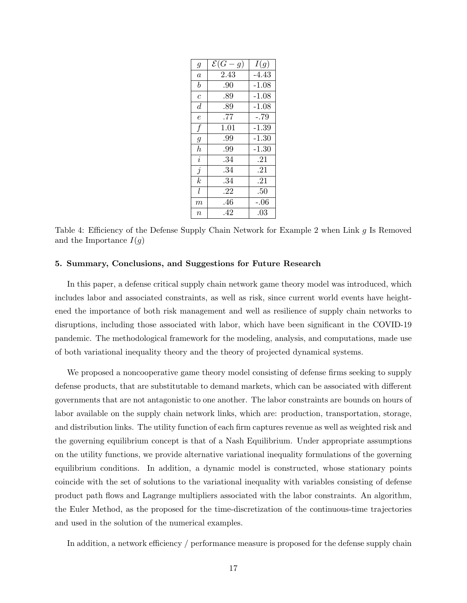| $\mathfrak g$    | $\mathcal{E}(G)$<br>g) | I(g)    |
|------------------|------------------------|---------|
| $\overline{a}$   | 2.43                   | $-4.43$ |
| $\boldsymbol{b}$ | .90                    | $-1.08$ |
| $\overline{c}$   | .89                    | $-1.08$ |
| $\overline{d}$   | .89                    | $-1.08$ |
| $\overline{e}$   | .77                    | $-.79$  |
| $\boldsymbol{f}$ | 1.01                   | $-1.39$ |
| $\mathfrak g$    | .99                    | $-1.30$ |
| $\boldsymbol{h}$ | .99                    | $-1.30$ |
| $\overline{i}$   | .34                    | .21     |
| $\overline{j}$   | .34                    | .21     |
| $\boldsymbol{k}$ | .34                    | .21     |
| l                | .22                    | .50     |
| m                | .46                    | $-.06$  |
| $\it{n}$         | .42                    | .03     |

Table 4: Efficiency of the Defense Supply Chain Network for Example 2 when Link g Is Removed and the Importance  $I(g)$ 

### 5. Summary, Conclusions, and Suggestions for Future Research

In this paper, a defense critical supply chain network game theory model was introduced, which includes labor and associated constraints, as well as risk, since current world events have heightened the importance of both risk management and well as resilience of supply chain networks to disruptions, including those associated with labor, which have been significant in the COVID-19 pandemic. The methodological framework for the modeling, analysis, and computations, made use of both variational inequality theory and the theory of projected dynamical systems.

We proposed a noncooperative game theory model consisting of defense firms seeking to supply defense products, that are substitutable to demand markets, which can be associated with different governments that are not antagonistic to one another. The labor constraints are bounds on hours of labor available on the supply chain network links, which are: production, transportation, storage, and distribution links. The utility function of each firm captures revenue as well as weighted risk and the governing equilibrium concept is that of a Nash Equilibrium. Under appropriate assumptions on the utility functions, we provide alternative variational inequality formulations of the governing equilibrium conditions. In addition, a dynamic model is constructed, whose stationary points coincide with the set of solutions to the variational inequality with variables consisting of defense product path flows and Lagrange multipliers associated with the labor constraints. An algorithm, the Euler Method, as the proposed for the time-discretization of the continuous-time trajectories and used in the solution of the numerical examples.

In addition, a network efficiency / performance measure is proposed for the defense supply chain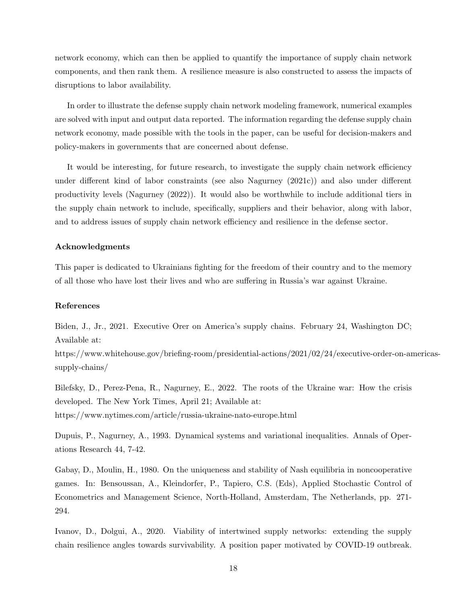network economy, which can then be applied to quantify the importance of supply chain network components, and then rank them. A resilience measure is also constructed to assess the impacts of disruptions to labor availability.

In order to illustrate the defense supply chain network modeling framework, numerical examples are solved with input and output data reported. The information regarding the defense supply chain network economy, made possible with the tools in the paper, can be useful for decision-makers and policy-makers in governments that are concerned about defense.

It would be interesting, for future research, to investigate the supply chain network efficiency under different kind of labor constraints (see also Nagurney (2021c)) and also under different productivity levels (Nagurney (2022)). It would also be worthwhile to include additional tiers in the supply chain network to include, specifically, suppliers and their behavior, along with labor, and to address issues of supply chain network efficiency and resilience in the defense sector.

### Acknowledgments

This paper is dedicated to Ukrainians fighting for the freedom of their country and to the memory of all those who have lost their lives and who are suffering in Russia's war against Ukraine.

## References

Biden, J., Jr., 2021. Executive Orer on America's supply chains. February 24, Washington DC; Available at:

https://www.whitehouse.gov/briefing-room/presidential-actions/2021/02/24/executive-order-on-americassupply-chains/

Bilefsky, D., Perez-Pena, R., Nagurney, E., 2022. The roots of the Ukraine war: How the crisis developed. The New York Times, April 21; Available at: https://www.nytimes.com/article/russia-ukraine-nato-europe.html

Dupuis, P., Nagurney, A., 1993. Dynamical systems and variational inequalities. Annals of Operations Research 44, 7-42.

Gabay, D., Moulin, H., 1980. On the uniqueness and stability of Nash equilibria in noncooperative games. In: Bensoussan, A., Kleindorfer, P., Tapiero, C.S. (Eds), Applied Stochastic Control of Econometrics and Management Science, North-Holland, Amsterdam, The Netherlands, pp. 271- 294.

Ivanov, D., Dolgui, A., 2020. Viability of intertwined supply networks: extending the supply chain resilience angles towards survivability. A position paper motivated by COVID-19 outbreak.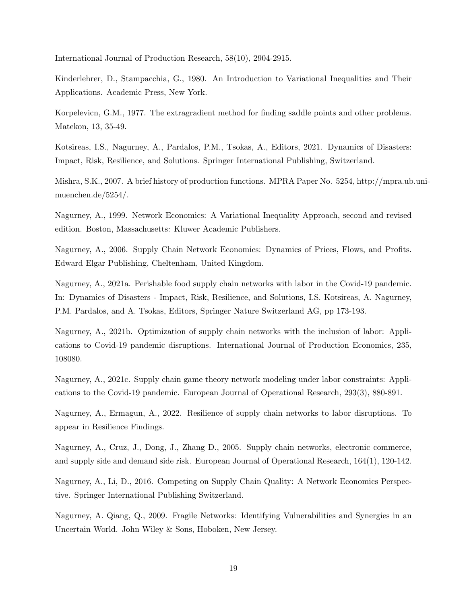International Journal of Production Research, 58(10), 2904-2915.

Kinderlehrer, D., Stampacchia, G., 1980. An Introduction to Variational Inequalities and Their Applications. Academic Press, New York.

Korpelevicn, G.M., 1977. The extragradient method for finding saddle points and other problems. Matekon, 13, 35-49.

Kotsireas, I.S., Nagurney, A., Pardalos, P.M., Tsokas, A., Editors, 2021. Dynamics of Disasters: Impact, Risk, Resilience, and Solutions. Springer International Publishing, Switzerland.

Mishra, S.K., 2007. A brief history of production functions. MPRA Paper No. 5254, http://mpra.ub.unimuenchen.de/5254/.

Nagurney, A., 1999. Network Economics: A Variational Inequality Approach, second and revised edition. Boston, Massachusetts: Kluwer Academic Publishers.

Nagurney, A., 2006. Supply Chain Network Economics: Dynamics of Prices, Flows, and Profits. Edward Elgar Publishing, Cheltenham, United Kingdom.

Nagurney, A., 2021a. Perishable food supply chain networks with labor in the Covid-19 pandemic. In: Dynamics of Disasters - Impact, Risk, Resilience, and Solutions, I.S. Kotsireas, A. Nagurney, P.M. Pardalos, and A. Tsokas, Editors, Springer Nature Switzerland AG, pp 173-193.

Nagurney, A., 2021b. Optimization of supply chain networks with the inclusion of labor: Applications to Covid-19 pandemic disruptions. International Journal of Production Economics, 235, 108080.

Nagurney, A., 2021c. Supply chain game theory network modeling under labor constraints: Applications to the Covid-19 pandemic. European Journal of Operational Research, 293(3), 880-891.

Nagurney, A., Ermagun, A., 2022. Resilience of supply chain networks to labor disruptions. To appear in Resilience Findings.

Nagurney, A., Cruz, J., Dong, J., Zhang D., 2005. Supply chain networks, electronic commerce, and supply side and demand side risk. European Journal of Operational Research, 164(1), 120-142.

Nagurney, A., Li, D., 2016. Competing on Supply Chain Quality: A Network Economics Perspective. Springer International Publishing Switzerland.

Nagurney, A. Qiang, Q., 2009. Fragile Networks: Identifying Vulnerabilities and Synergies in an Uncertain World. John Wiley & Sons, Hoboken, New Jersey.